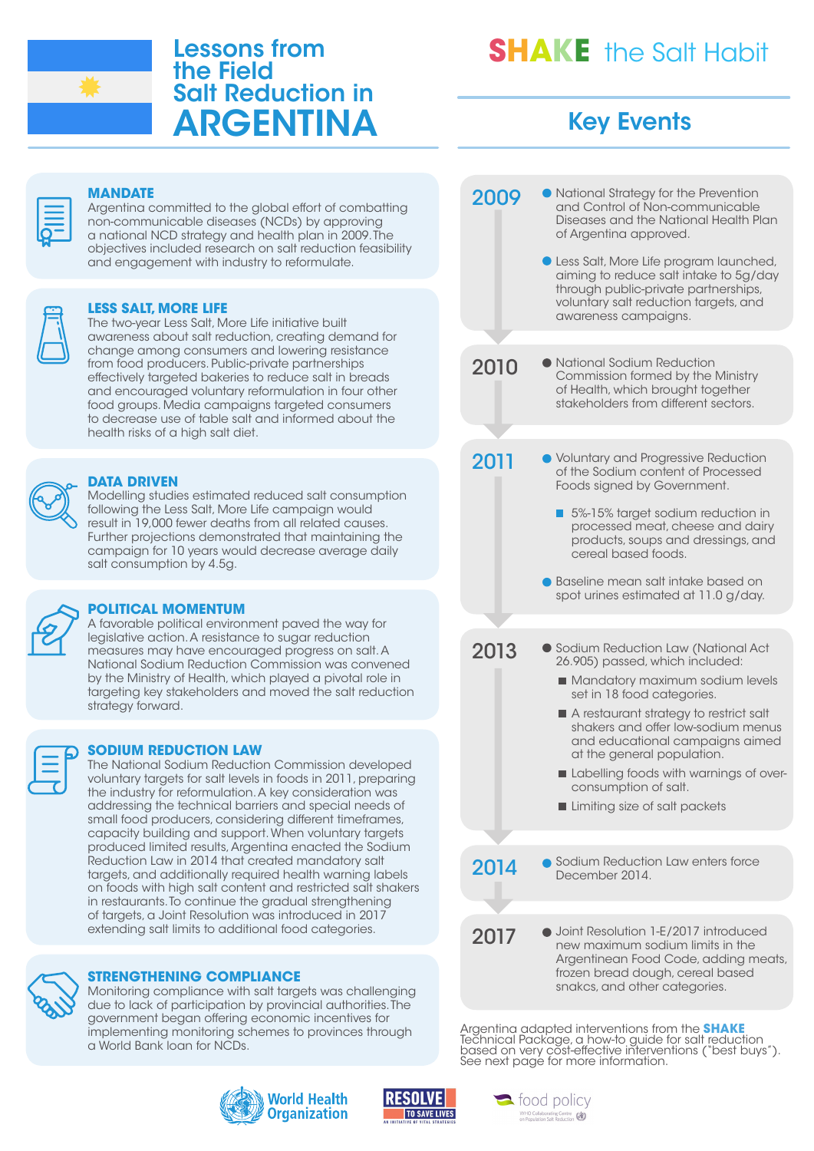

# Lessons from the Field Salt Reduction in ARGENTINA

# **SHAKE** the Salt Habit

# Key Events

2009 2011 2013 2010 2017 2014 National Strategy for the Prevention and Control of Non-communicable Diseases and the National Health Plan of Argentina approved. Less Salt, More Life program launched, aiming to reduce salt intake to 5g/day through public-private partnerships, voluntary salt reduction targets, and awareness campaigns. National Sodium Reduction Commission formed by the Ministry of Health, which brought together stakeholders from different sectors. **• Voluntary and Progressive Reduction** of the Sodium content of Processed Foods signed by Government. 5%-15% target sodium reduction in processed meat, cheese and dairy products, soups and dressings, and cereal based foods. **Baseline mean salt intake based on** spot urines estimated at 11.0 g/day. **• Sodium Reduction Law (National Act** 26.905) passed, which included: **Mandatory maximum sodium levels** set in 18 food categories. A restaurant strategy to restrict salt shakers and offer low-sodium menus and educational campaigns aimed at the general population. Labelling foods with warnings of overconsumption of salt. ■ Limiting size of salt packets ● Joint Resolution 1-E/2017 introduced new maximum sodium limits in the Argentinean Food Code, adding meats, frozen bread dough, cereal based snakcs, and other categories. **Sodium Reduction Law enters force** December 2014.

Argentina adapted interventions from the **SHAKE** Technical Package, a how-to guide for salt reduction based on very cost-effective interventions ("best buys"). See next page for more information.



Argentina committed to the global effort of combatting non-communicable diseases (NCDs) by approving a national NCD strategy and health plan in 2009. The objectives included research on salt reduction feasibility and engagement with industry to reformulate.

#### **LESS SALT, MORE LIFE**

The two-year Less Salt, More Life initiative built awareness about salt reduction, creating demand for change among consumers and lowering resistance from food producers. Public-private partnerships effectively targeted bakeries to reduce salt in breads and encouraged voluntary reformulation in four other food groups. Media campaigns targeted consumers to decrease use of table salt and informed about the health risks of a high salt diet.



#### **DATA DRIVEN**

Modelling studies estimated reduced salt consumption following the Less Salt, More Life campaign would result in 19,000 fewer deaths from all related causes. Further projections demonstrated that maintaining the campaign for 10 years would decrease average daily salt consumption by 4.5g.



#### **POLITICAL MOMENTUM**

A favorable political environment paved the way for legislative action. A resistance to sugar reduction measures may have encouraged progress on salt. A National Sodium Reduction Commission was convened by the Ministry of Health, which played a pivotal role in targeting key stakeholders and moved the salt reduction strategy forward.

#### **SODIUM REDUCTION LAW**

The National Sodium Reduction Commission developed voluntary targets for salt levels in foods in 2011, preparing the industry for reformulation. A key consideration was addressing the technical barriers and special needs of small food producers, considering different timeframes, capacity building and support. When voluntary targets produced limited results, Argentina enacted the Sodium Reduction Law in 2014 that created mandatory salt targets, and additionally required health warning labels on foods with high salt content and restricted salt shakers in restaurants. To continue the gradual strengthening of targets, a Joint Resolution was introduced in 2017 extending salt limits to additional food categories.



#### **STRENGTHENING COMPLIANCE**

Monitoring compliance with salt targets was challenging due to lack of participation by provincial authorities. The government began offering economic incentives for implementing monitoring schemes to provinces through a World Bank loan for NCDs.